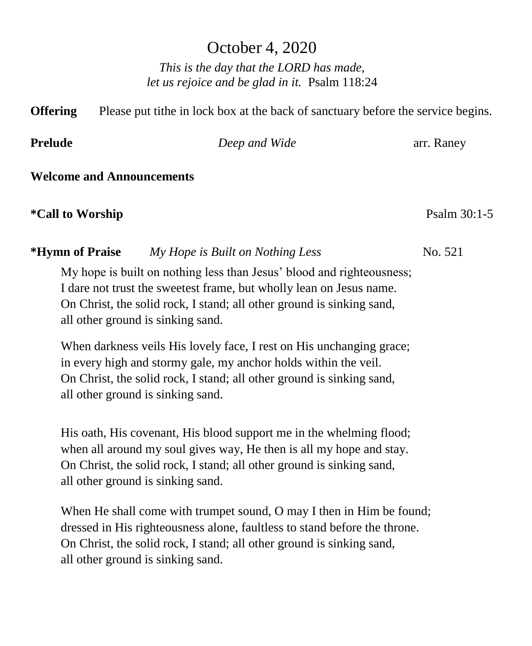# October 4, 2020

*This is the day that the LORD has made, let us rejoice and be glad in it.* Psalm 118:24

**Offering** Please put tithe in lock box at the back of sanctuary before the service begins. **Prelude** *Deep and Wide* **<b>arrangement** *Deep and Wide* **arrangement arrangement** *Deep and Wide* **Welcome and Announcements \*Call to Worship** Psalm 30:1-5

My hope is built on nothing less than Jesus' blood and righteousness; I dare not trust the sweetest frame, but wholly lean on Jesus name. On Christ, the solid rock, I stand; all other ground is sinking sand, all other ground is sinking sand.

**\*Hymn of Praise** *My Hope is Built on Nothing Less*No. 521

When darkness veils His lovely face, I rest on His unchanging grace; in every high and stormy gale, my anchor holds within the veil. On Christ, the solid rock, I stand; all other ground is sinking sand, all other ground is sinking sand.

His oath, His covenant, His blood support me in the whelming flood; when all around my soul gives way, He then is all my hope and stay. On Christ, the solid rock, I stand; all other ground is sinking sand, all other ground is sinking sand.

When He shall come with trumpet sound, O may I then in Him be found; dressed in His righteousness alone, faultless to stand before the throne. On Christ, the solid rock, I stand; all other ground is sinking sand, all other ground is sinking sand.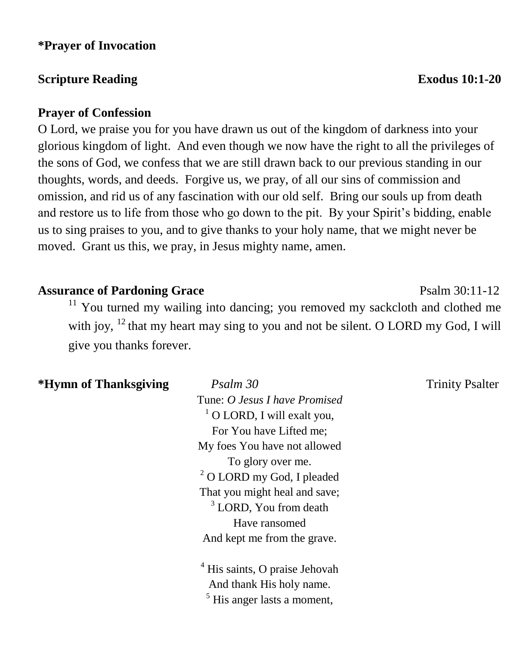#### **\*Prayer of Invocation**

### **Scripture Reading Exodus** 10:1-20

#### **Prayer of Confession**

O Lord, we praise you for you have drawn us out of the kingdom of darkness into your glorious kingdom of light. And even though we now have the right to all the privileges of the sons of God, we confess that we are still drawn back to our previous standing in our thoughts, words, and deeds. Forgive us, we pray, of all our sins of commission and omission, and rid us of any fascination with our old self. Bring our souls up from death and restore us to life from those who go down to the pit. By your Spirit's bidding, enable us to sing praises to you, and to give thanks to your holy name, that we might never be moved. Grant us this, we pray, in Jesus mighty name, amen.

## Assurance of Pardoning Grace **Particle 12** Psalm 30:11-12

 $11$  You turned my wailing into dancing; you removed my sackcloth and clothed me with joy,  $^{12}$  that my heart may sing to you and not be silent. O LORD my God, I will give you thanks forever.

#### **\*Hymn of Thanksgiving** *Psalm 30* Trinity Psalter

Tune: *O Jesus I have Promised*  $1$  O LORD, I will exalt you, For You have Lifted me; My foes You have not allowed To glory over me. <sup>2</sup> O LORD my God, I pleaded That you might heal and save;  $3$  LORD, You from death Have ransomed And kept me from the grave.

<sup>4</sup> His saints, O praise Jehovah And thank His holy name.  $<sup>5</sup>$  His anger lasts a moment.</sup>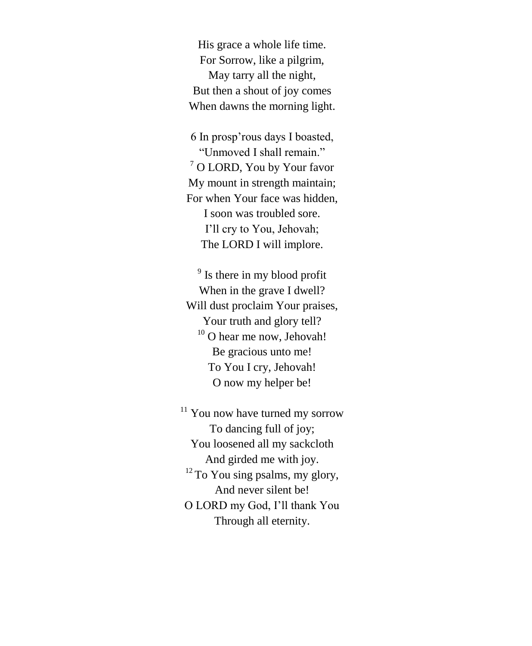His grace a whole life time. For Sorrow, like a pilgrim, May tarry all the night, But then a shout of joy comes When dawns the morning light.

6 In prosp'rous days I boasted, "Unmoved I shall remain." <sup>7</sup> O LORD, You by Your favor My mount in strength maintain; For when Your face was hidden, I soon was troubled sore. I'll cry to You, Jehovah; The LORD I will implore.

<sup>9</sup> Is there in my blood profit When in the grave I dwell? Will dust proclaim Your praises, Your truth and glory tell?  $10$  O hear me now, Jehovah! Be gracious unto me! To You I cry, Jehovah! O now my helper be!

<sup>11</sup> You now have turned my sorrow To dancing full of joy; You loosened all my sackcloth And girded me with joy.  $12$  To You sing psalms, my glory, And never silent be! O LORD my God, I'll thank You Through all eternity.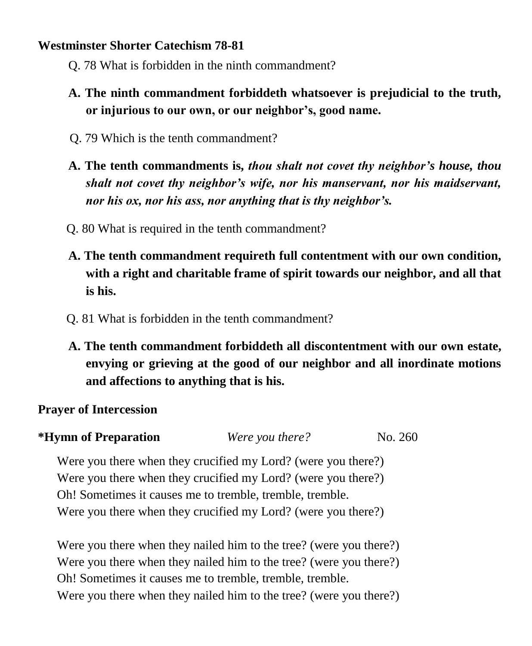### **Westminster Shorter Catechism 78-81**

- Q. 78 What is forbidden in the ninth commandment?
- **A. The ninth commandment forbiddeth whatsoever is prejudicial to the truth, or injurious to our own, or our neighbor's, good name.**
- Q. 79 Which is the tenth commandment?
- **A. The tenth commandments is,** *thou shalt not covet thy neighbor's house, thou shalt not covet thy neighbor's wife, nor his manservant, nor his maidservant, nor his ox, nor his ass, nor anything that is thy neighbor's.*
- Q. 80 What is required in the tenth commandment?
- **A. The tenth commandment requireth full contentment with our own condition, with a right and charitable frame of spirit towards our neighbor, and all that is his.**
- Q. 81 What is forbidden in the tenth commandment?
- **A. The tenth commandment forbiddeth all discontentment with our own estate, envying or grieving at the good of our neighbor and all inordinate motions and affections to anything that is his.**

## **Prayer of Intercession**

**\*Hymn of Preparation** *Were you there?* No. 260

Were you there when they crucified my Lord? (were you there?) Were you there when they crucified my Lord? (were you there?) Oh! Sometimes it causes me to tremble, tremble, tremble. Were you there when they crucified my Lord? (were you there?)

Were you there when they nailed him to the tree? (were you there?) Were you there when they nailed him to the tree? (were you there?) Oh! Sometimes it causes me to tremble, tremble, tremble. Were you there when they nailed him to the tree? (were you there?)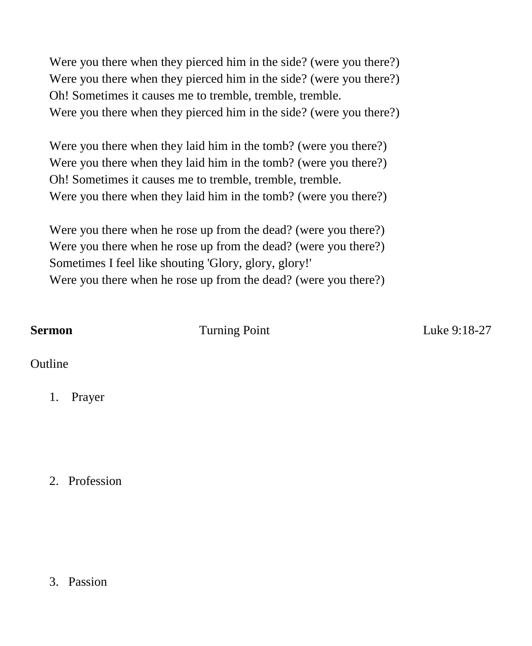Were you there when they pierced him in the side? (were you there?) Were you there when they pierced him in the side? (were you there?) Oh! Sometimes it causes me to tremble, tremble, tremble. Were you there when they pierced him in the side? (were you there?)

Were you there when they laid him in the tomb? (were you there?) Were you there when they laid him in the tomb? (were you there?) Oh! Sometimes it causes me to tremble, tremble, tremble. Were you there when they laid him in the tomb? (were you there?)

Were you there when he rose up from the dead? (were you there?) Were you there when he rose up from the dead? (were you there?) Sometimes I feel like shouting 'Glory, glory, glory!' Were you there when he rose up from the dead? (were you there?)

**Sermon Turning Point Luke 9:18-27** 

**Outline** 

1. Prayer

2. Profession

3. Passion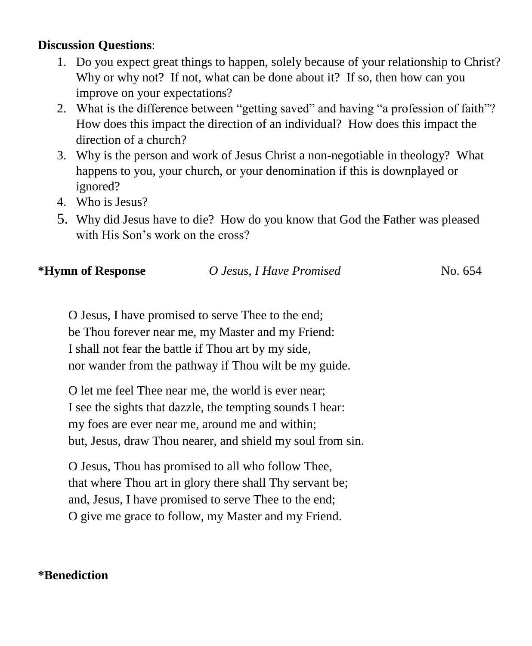### **Discussion Questions**:

- 1. Do you expect great things to happen, solely because of your relationship to Christ? Why or why not? If not, what can be done about it? If so, then how can you improve on your expectations?
- 2. What is the difference between "getting saved" and having "a profession of faith"? How does this impact the direction of an individual? How does this impact the direction of a church?
- 3. Why is the person and work of Jesus Christ a non-negotiable in theology? What happens to you, your church, or your denomination if this is downplayed or ignored?
- 4. Who is Jesus?
- 5. Why did Jesus have to die? How do you know that God the Father was pleased with His Son's work on the cross?

| *Hymn of Response | O Jesus, I Have Promised | No. 654 |
|-------------------|--------------------------|---------|
|                   |                          |         |

O Jesus, I have promised to serve Thee to the end; be Thou forever near me, my Master and my Friend: I shall not fear the battle if Thou art by my side, nor wander from the pathway if Thou wilt be my guide.

O let me feel Thee near me, the world is ever near; I see the sights that dazzle, the tempting sounds I hear: my foes are ever near me, around me and within; but, Jesus, draw Thou nearer, and shield my soul from sin.

O Jesus, Thou has promised to all who follow Thee, that where Thou art in glory there shall Thy servant be; and, Jesus, I have promised to serve Thee to the end; O give me grace to follow, my Master and my Friend.

## **\*Benediction**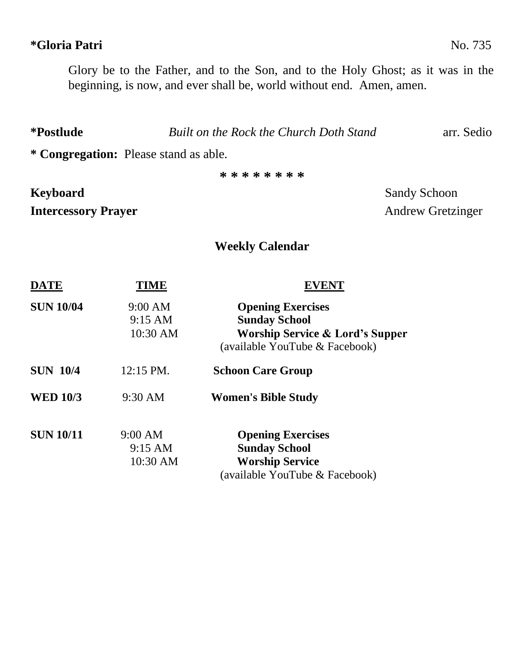## **\*Gloria Patri** No. 735

Glory be to the Father, and to the Son, and to the Holy Ghost; as it was in the

beginning, is now, and ever shall be, world without end. Amen, amen.

**\*Postlude** *Built on the Rock the Church Doth Stand* arr. Sedio

**\* Congregation:** Please stand as able.

**\* \* \* \* \* \* \* \***

## **Keyboard** Sandy Schoon **Intercessory Prayer** Andrew Gretzinger

## **Weekly Calendar**

| <b>DATE</b>      | TIME                                       | <b>EVENT</b>                                                                                                                     |
|------------------|--------------------------------------------|----------------------------------------------------------------------------------------------------------------------------------|
| <b>SUN 10/04</b> | 9:00 AM<br>$9:15 \text{ AM}$<br>$10:30$ AM | <b>Opening Exercises</b><br><b>Sunday School</b><br><b>Worship Service &amp; Lord's Supper</b><br>(available YouTube & Facebook) |
| <b>SUN 10/4</b>  | $12:15$ PM.                                | <b>Schoon Care Group</b>                                                                                                         |
| <b>WED 10/3</b>  | $9:30 \text{ AM}$                          | <b>Women's Bible Study</b>                                                                                                       |
| <b>SUN 10/11</b> | 9:00 AM<br>$9:15 \text{ AM}$<br>10:30 AM   | <b>Opening Exercises</b><br><b>Sunday School</b><br><b>Worship Service</b><br>(available YouTube & Facebook)                     |